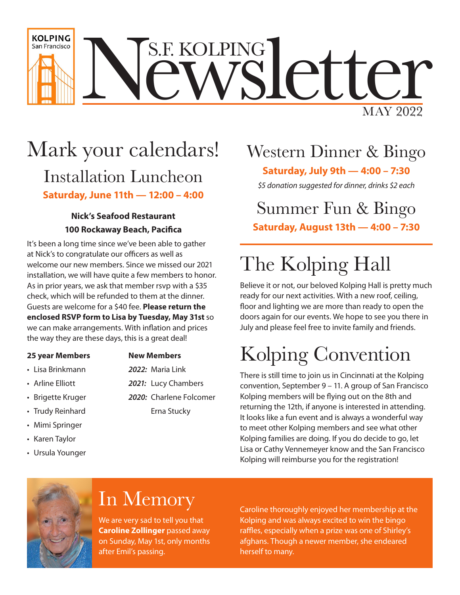

## Mark your calendars! Installation Luncheon **Saturday, June 11th — 12:00 – 4:00**

#### **Nick's Seafood Restaurant 100 Rockaway Beach, Pacifica**

It's been a long time since we've been able to gather at Nick's to congratulate our officers as well as welcome our new members. Since we missed our 2021 installation, we will have quite a few members to honor. As in prior years, we ask that member rsvp with a \$35 check, which will be refunded to them at the dinner. Guests are welcome for a \$40 fee. **Please return the enclosed RSVP form to Lisa by Tuesday, May 31st** so we can make arrangements. With inflation and prices the way they are these days, this is a great deal!

#### **25 year Members New Members**

• Lisa Brinkmann *2022:* Maria Link

- 
- 
- 
- 
- Mimi Springer
- Karen Taylor
- Ursula Younger
- Arline Elliott *2021:* Lucy Chambers
- Brigette Kruger *2020:* Charlene Folcomer • Trudy Reinhard **Erna Stucky**

## Western Dinner & Bingo

**Saturday, July 9th — 4:00 – 7:30**

*\$5 donation suggested for dinner, drinks \$2 each*

#### Summer Fun & Bingo **Saturday, August 13th — 4:00 – 7:30**

# The Kolping Hall

Believe it or not, our beloved Kolping Hall is pretty much ready for our next activities. With a new roof, ceiling, floor and lighting we are more than ready to open the doors again for our events. We hope to see you there in July and please feel free to invite family and friends.

# Kolping Convention

There is still time to join us in Cincinnati at the Kolping convention, September 9 – 11. A group of San Francisco Kolping members will be flying out on the 8th and returning the 12th, if anyone is interested in attending. It looks like a fun event and is always a wonderful way to meet other Kolping members and see what other Kolping families are doing. If you do decide to go, let Lisa or Cathy Vennemeyer know and the San Francisco Kolping will reimburse you for the registration!



### In Memory

We are very sad to tell you that **Caroline Zollinger** passed away on Sunday, May 1st, only months after Emil's passing.

Caroline thoroughly enjoyed her membership at the Kolping and was always excited to win the bingo raffles, especially when a prize was one of Shirley's afghans. Though a newer member, she endeared herself to many.